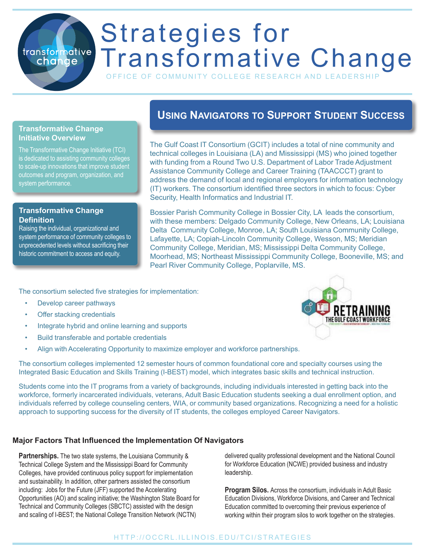# Strategies for transformative Transformative Change

OFFICE OF COMMUNITY COLLEGE RESEARCH AND LEADERSH

#### **Transformative Change Initiative Overview**

change

The Transformative Change Initiative (TCI) is dedicated to assisting community colleges to scale-up innovations that improve student outcomes and program, organization, and system performance.

#### **Transformative Change Definition**

Raising the individual, organizational and system performance of community colleges to unprecedented levels without sacrificing their historic commitment to access and equity.

## **Using Navigators to Support Student Success**

The Gulf Coast IT Consortium (GCIT) includes a total of nine community and technical colleges in Louisiana (LA) and Mississippi (MS) who joined together with funding from a Round Two U.S. Department of Labor Trade Adjustment Assistance Community College and Career Training (TAACCCT) grant to address the demand of local and regional employers for information technology (IT) workers. The consortium identified three sectors in which to focus: Cyber Security, Health Informatics and Industrial IT.

Bossier Parish Community College in Bossier City, LA leads the consortium, with these members: Delgado Community College, New Orleans, LA; Louisiana Delta Community College, Monroe, LA; South Louisiana Community College, Lafayette, LA; Copiah-Lincoln Community College, Wesson, MS; Meridian Community College, Meridian, MS; Mississippi Delta Community College, Moorhead, MS; Northeast Mississippi Community College, Booneville, MS; and Pearl River Community College, Poplarville, MS.

The consortium selected five strategies for implementation:

- Develop career pathways
- Offer stacking credentials
- Integrate hybrid and online learning and supports
- Build transferable and portable credentials
- Align with Accelerating Opportunity to maximize employer and workforce partnerships.

The consortium colleges implemented 12 semester hours of common foundational core and specialty courses using the Integrated Basic Education and Skills Training (I-BEST) model, which integrates basic skills and technical instruction.

Students come into the IT programs from a variety of backgrounds, including individuals interested in getting back into the workforce, formerly incarcerated individuals, veterans, Adult Basic Education students seeking a dual enrollment option, and individuals referred by college counseling centers, WIA, or community based organizations. Recognizing a need for a holistic approach to supporting success for the diversity of IT students, the colleges employed Career Navigators.

#### **Major Factors That Influenced the Implementation Of Navigators**

**Partnerships.** The two state systems, the Louisiana Community & Technical College System and the Mississippi Board for Community Colleges, have provided continuous policy support for implementation and sustainability. In addition, other partners assisted the consortium including: Jobs for the Future (JFF) supported the Accelerating Opportunities (AO) and scaling initiative; the Washington State Board for Technical and Community Colleges (SBCTC) assisted with the design and scaling of I-BEST; the National College Transition Network (NCTN)

delivered quality professional development and the National Council for Workforce Education (NCWE) provided business and industry leadership.

**Program Silos.** Across the consortium, individuals in Adult Basic Education Divisions, Workforce Divisions, and Career and Technical Education committed to overcoming their previous experience of working within their program silos to work together on the strategies.

### HTTP://OCCRL.ILLINOIS.EDU/TCI/STRATEGIES